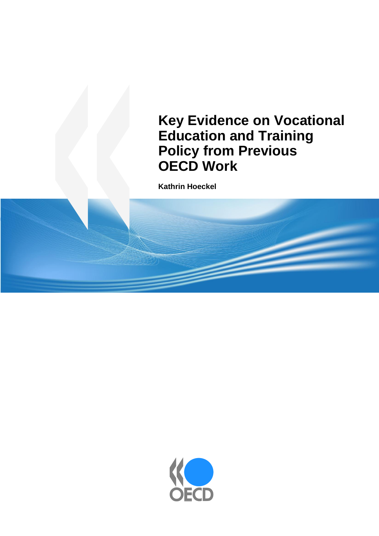# **Key Evidence on Vocational Education and Training Policy from Previous OECD Work**

**Kathrin Hoeckel**

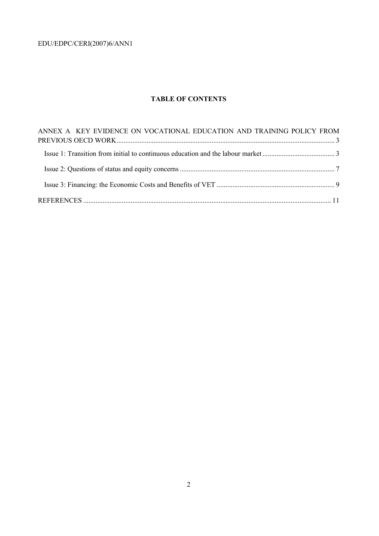# **TABLE OF CONTENTS**

| ANNEX A KEY EVIDENCE ON VOCATIONAL EDUCATION AND TRAINING POLICY FROM |  |
|-----------------------------------------------------------------------|--|
|                                                                       |  |
|                                                                       |  |
|                                                                       |  |
|                                                                       |  |
|                                                                       |  |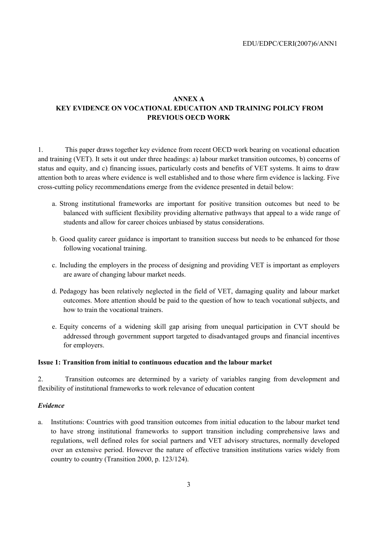# **ANNEX A KEY EVIDENCE ON VOCATIONAL EDUCATION AND TRAINING POLICY FROM PREVIOUS OECD WORK**

1. This paper draws together key evidence from recent OECD work bearing on vocational education and training (VET). It sets it out under three headings: a) labour market transition outcomes, b) concerns of status and equity, and c) financing issues, particularly costs and benefits of VET systems. It aims to draw attention both to areas where evidence is well established and to those where firm evidence is lacking. Five cross-cutting policy recommendations emerge from the evidence presented in detail below:

- a. Strong institutional frameworks are important for positive transition outcomes but need to be balanced with sufficient flexibility providing alternative pathways that appeal to a wide range of students and allow for career choices unbiased by status considerations.
- b. Good quality career guidance is important to transition success but needs to be enhanced for those following vocational training.
- c. Including the employers in the process of designing and providing VET is important as employers are aware of changing labour market needs.
- d. Pedagogy has been relatively neglected in the field of VET, damaging quality and labour market outcomes. More attention should be paid to the question of how to teach vocational subjects, and how to train the vocational trainers.
- e. Equity concerns of a widening skill gap arising from unequal participation in CVT should be addressed through government support targeted to disadvantaged groups and financial incentives for employers.

#### **Issue 1: Transition from initial to continuous education and the labour market**

2. Transition outcomes are determined by a variety of variables ranging from development and flexibility of institutional frameworks to work relevance of education content

#### *Evidence*

a. Institutions: Countries with good transition outcomes from initial education to the labour market tend to have strong institutional frameworks to support transition including comprehensive laws and regulations, well defined roles for social partners and VET advisory structures, normally developed over an extensive period. However the nature of effective transition institutions varies widely from country to country (Transition 2000, p. 123/124).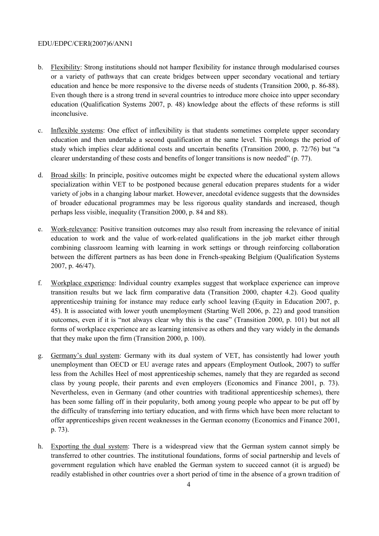- b. Flexibility: Strong institutions should not hamper flexibility for instance through modularised courses or a variety of pathways that can create bridges between upper secondary vocational and tertiary education and hence be more responsive to the diverse needs of students (Transition 2000, p. 86-88). Even though there is a strong trend in several countries to introduce more choice into upper secondary education (Qualification Systems 2007, p. 48) knowledge about the effects of these reforms is still inconclusive.
- c. Inflexible systems: One effect of inflexibility is that students sometimes complete upper secondary education and then undertake a second qualification at the same level. This prolongs the period of study which implies clear additional costs and uncertain benefits (Transition 2000, p. 72/76) but "a clearer understanding of these costs and benefits of longer transitions is now needed" (p. 77).
- d. Broad skills: In principle, positive outcomes might be expected where the educational system allows specialization within VET to be postponed because general education prepares students for a wider variety of jobs in a changing labour market. However, anecdotal evidence suggests that the downsides of broader educational programmes may be less rigorous quality standards and increased, though perhaps less visible, inequality (Transition 2000, p. 84 and 88).
- e. Work-relevance: Positive transition outcomes may also result from increasing the relevance of initial education to work and the value of work-related qualifications in the job market either through combining classroom learning with learning in work settings or through reinforcing collaboration between the different partners as has been done in French-speaking Belgium (Qualification Systems 2007, p. 46/47).
- f. Workplace experience: Individual country examples suggest that workplace experience can improve transition results but we lack firm comparative data (Transition 2000, chapter 4.2). Good quality apprenticeship training for instance may reduce early school leaving (Equity in Education 2007, p. 45). It is associated with lower youth unemployment (Starting Well 2006, p. 22) and good transition outcomes, even if it is "not always clear why this is the case" (Transition 2000, p. 101) but not all forms of workplace experience are as learning intensive as others and they vary widely in the demands that they make upon the firm (Transition 2000, p. 100).
- g. Germany's dual system: Germany with its dual system of VET, has consistently had lower youth unemployment than OECD or EU average rates and appears (Employment Outlook, 2007) to suffer less from the Achilles Heel of most apprenticeship schemes, namely that they are regarded as second class by young people, their parents and even employers (Economics and Finance 2001, p. 73). Nevertheless, even in Germany (and other countries with traditional apprenticeship schemes), there has been some falling off in their popularity, both among young people who appear to be put off by the difficulty of transferring into tertiary education, and with firms which have been more reluctant to offer apprenticeships given recent weaknesses in the German economy (Economics and Finance 2001, p. 73).
- h. Exporting the dual system: There is a widespread view that the German system cannot simply be transferred to other countries. The institutional foundations, forms of social partnership and levels of government regulation which have enabled the German system to succeed cannot (it is argued) be readily established in other countries over a short period of time in the absence of a grown tradition of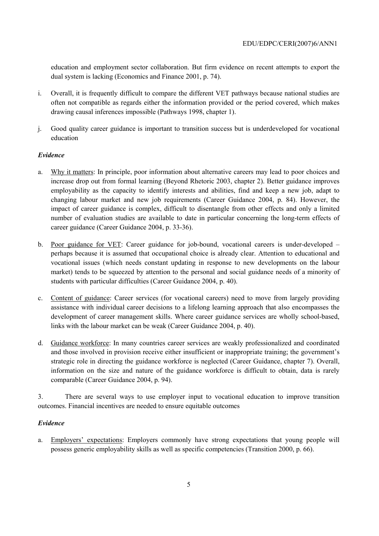education and employment sector collaboration. But firm evidence on recent attempts to export the dual system is lacking (Economics and Finance 2001, p. 74).

- i. Overall, it is frequently difficult to compare the different VET pathways because national studies are often not compatible as regards either the information provided or the period covered, which makes drawing causal inferences impossible (Pathways 1998, chapter 1).
- j. Good quality career guidance is important to transition success but is underdeveloped for vocational education

# *Evidence*

- a. Why it matters: In principle, poor information about alternative careers may lead to poor choices and increase drop out from formal learning (Beyond Rhetoric 2003, chapter 2). Better guidance improves employability as the capacity to identify interests and abilities, find and keep a new job, adapt to changing labour market and new job requirements (Career Guidance 2004, p. 84). However, the impact of career guidance is complex, difficult to disentangle from other effects and only a limited number of evaluation studies are available to date in particular concerning the long-term effects of career guidance (Career Guidance 2004, p. 33-36).
- b. Poor guidance for VET: Career guidance for job-bound, vocational careers is under-developed perhaps because it is assumed that occupational choice is already clear. Attention to educational and vocational issues (which needs constant updating in response to new developments on the labour market) tends to be squeezed by attention to the personal and social guidance needs of a minority of students with particular difficulties (Career Guidance 2004, p. 40).
- c. Content of guidance: Career services (for vocational careers) need to move from largely providing assistance with individual career decisions to a lifelong learning approach that also encompasses the development of career management skills. Where career guidance services are wholly school-based, links with the labour market can be weak (Career Guidance 2004, p. 40).
- d. Guidance workforce: In many countries career services are weakly professionalized and coordinated and those involved in provision receive either insufficient or inappropriate training; the government's strategic role in directing the guidance workforce is neglected (Career Guidance, chapter 7). Overall, information on the size and nature of the guidance workforce is difficult to obtain, data is rarely comparable (Career Guidance 2004, p. 94).

3. There are several ways to use employer input to vocational education to improve transition outcomes. Financial incentives are needed to ensure equitable outcomes

# *Evidence*

a. Employers' expectations: Employers commonly have strong expectations that young people will possess generic employability skills as well as specific competencies (Transition 2000, p. 66).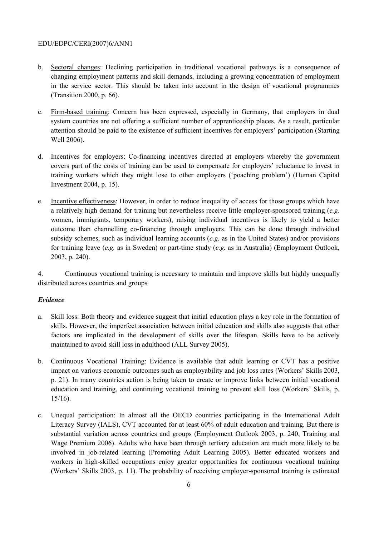- b. Sectoral changes: Declining participation in traditional vocational pathways is a consequence of changing employment patterns and skill demands, including a growing concentration of employment in the service sector. This should be taken into account in the design of vocational programmes (Transition 2000, p. 66).
- c. Firm-based training: Concern has been expressed, especially in Germany, that employers in dual system countries are not offering a sufficient number of apprenticeship places. As a result, particular attention should be paid to the existence of sufficient incentives for employers' participation (Starting Well 2006).
- d. Incentives for employers: Co-financing incentives directed at employers whereby the government covers part of the costs of training can be used to compensate for employers' reluctance to invest in training workers which they might lose to other employers ('poaching problem') (Human Capital Investment 2004, p. 15).
- e. Incentive effectiveness: However, in order to reduce inequality of access for those groups which have a relatively high demand for training but nevertheless receive little employer-sponsored training (*e.g.*  women, immigrants, temporary workers), raising individual incentives is likely to yield a better outcome than channelling co-financing through employers. This can be done through individual subsidy schemes, such as individual learning accounts (*e.g.* as in the United States) and/or provisions for training leave (*e.g.* as in Sweden) or part-time study (*e.g.* as in Australia) (Employment Outlook, 2003, p. 240).

4. Continuous vocational training is necessary to maintain and improve skills but highly unequally distributed across countries and groups

#### *Evidence*

- a. Skill loss: Both theory and evidence suggest that initial education plays a key role in the formation of skills. However, the imperfect association between initial education and skills also suggests that other factors are implicated in the development of skills over the lifespan. Skills have to be actively maintained to avoid skill loss in adulthood (ALL Survey 2005).
- b. Continuous Vocational Training: Evidence is available that adult learning or CVT has a positive impact on various economic outcomes such as employability and job loss rates (Workers' Skills 2003, p. 21). In many countries action is being taken to create or improve links between initial vocational education and training, and continuing vocational training to prevent skill loss (Workers' Skills, p. 15/16).
- c. Unequal participation: In almost all the OECD countries participating in the International Adult Literacy Survey (IALS), CVT accounted for at least 60% of adult education and training. But there is substantial variation across countries and groups (Employment Outlook 2003, p. 240, Training and Wage Premium 2006). Adults who have been through tertiary education are much more likely to be involved in job-related learning (Promoting Adult Learning 2005). Better educated workers and workers in high-skilled occupations enjoy greater opportunities for continuous vocational training (Workers' Skills 2003, p. 11). The probability of receiving employer-sponsored training is estimated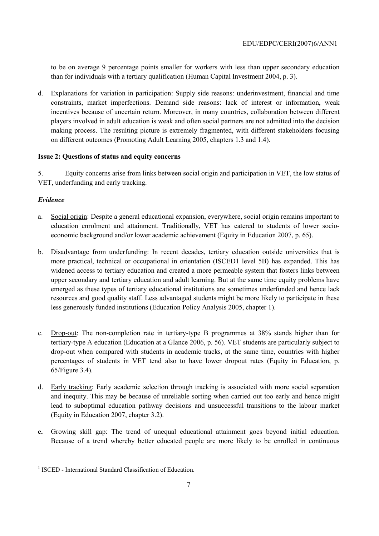to be on average 9 percentage points smaller for workers with less than upper secondary education than for individuals with a tertiary qualification (Human Capital Investment 2004, p. 3).

d. Explanations for variation in participation: Supply side reasons: underinvestment, financial and time constraints, market imperfections. Demand side reasons: lack of interest or information, weak incentives because of uncertain return. Moreover, in many countries, collaboration between different players involved in adult education is weak and often social partners are not admitted into the decision making process. The resulting picture is extremely fragmented, with different stakeholders focusing on different outcomes (Promoting Adult Learning 2005, chapters 1.3 and 1.4).

# **Issue 2: Questions of status and equity concerns**

5. Equity concerns arise from links between social origin and participation in VET, the low status of VET, underfunding and early tracking.

# *Evidence*

 $\overline{a}$ 

- a. Social origin: Despite a general educational expansion, everywhere, social origin remains important to education enrolment and attainment. Traditionally, VET has catered to students of lower socioeconomic background and/or lower academic achievement (Equity in Education 2007, p. 65).
- b. Disadvantage from underfunding: In recent decades, tertiary education outside universities that is more practical, technical or occupational in orientation (ISCED1 level 5B) has expanded. This has widened access to tertiary education and created a more permeable system that fosters links between upper secondary and tertiary education and adult learning. But at the same time equity problems have emerged as these types of tertiary educational institutions are sometimes underfunded and hence lack resources and good quality staff. Less advantaged students might be more likely to participate in these less generously funded institutions (Education Policy Analysis 2005, chapter 1).
- c. Drop-out: The non-completion rate in tertiary-type B programmes at 38% stands higher than for tertiary-type A education (Education at a Glance 2006, p. 56). VET students are particularly subject to drop-out when compared with students in academic tracks, at the same time, countries with higher percentages of students in VET tend also to have lower dropout rates (Equity in Education, p. 65/Figure 3.4).
- d. Early tracking: Early academic selection through tracking is associated with more social separation and inequity. This may be because of unreliable sorting when carried out too early and hence might lead to suboptimal education pathway decisions and unsuccessful transitions to the labour market (Equity in Education 2007, chapter 3.2).
- **e.** Growing skill gap: The trend of unequal educational attainment goes beyond initial education. Because of a trend whereby better educated people are more likely to be enrolled in continuous

<sup>&</sup>lt;sup>1</sup> ISCED - International Standard Classification of Education.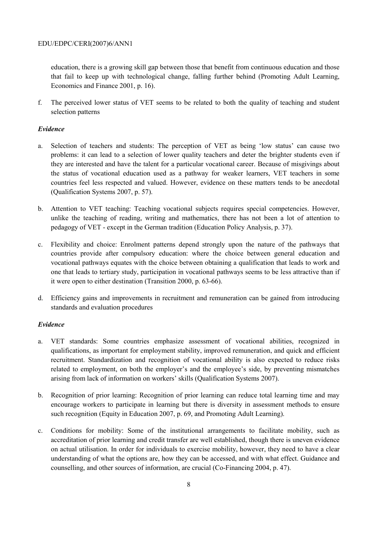education, there is a growing skill gap between those that benefit from continuous education and those that fail to keep up with technological change, falling further behind (Promoting Adult Learning, Economics and Finance 2001, p. 16).

f. The perceived lower status of VET seems to be related to both the quality of teaching and student selection patterns

# *Evidence*

- a. Selection of teachers and students: The perception of VET as being 'low status' can cause two problems: it can lead to a selection of lower quality teachers and deter the brighter students even if they are interested and have the talent for a particular vocational career. Because of misgivings about the status of vocational education used as a pathway for weaker learners, VET teachers in some countries feel less respected and valued. However, evidence on these matters tends to be anecdotal (Qualification Systems 2007, p. 57).
- b. Attention to VET teaching: Teaching vocational subjects requires special competencies. However, unlike the teaching of reading, writing and mathematics, there has not been a lot of attention to pedagogy of VET - except in the German tradition (Education Policy Analysis, p. 37).
- c. Flexibility and choice: Enrolment patterns depend strongly upon the nature of the pathways that countries provide after compulsory education: where the choice between general education and vocational pathways equates with the choice between obtaining a qualification that leads to work and one that leads to tertiary study, participation in vocational pathways seems to be less attractive than if it were open to either destination (Transition 2000, p. 63-66).
- d. Efficiency gains and improvements in recruitment and remuneration can be gained from introducing standards and evaluation procedures

#### *Evidence*

- a. VET standards: Some countries emphasize assessment of vocational abilities, recognized in qualifications, as important for employment stability, improved remuneration, and quick and efficient recruitment. Standardization and recognition of vocational ability is also expected to reduce risks related to employment, on both the employer's and the employee's side, by preventing mismatches arising from lack of information on workers' skills (Qualification Systems 2007).
- b. Recognition of prior learning: Recognition of prior learning can reduce total learning time and may encourage workers to participate in learning but there is diversity in assessment methods to ensure such recognition (Equity in Education 2007, p. 69, and Promoting Adult Learning).
- c. Conditions for mobility: Some of the institutional arrangements to facilitate mobility, such as accreditation of prior learning and credit transfer are well established, though there is uneven evidence on actual utilisation. In order for individuals to exercise mobility, however, they need to have a clear understanding of what the options are, how they can be accessed, and with what effect. Guidance and counselling, and other sources of information, are crucial (Co-Financing 2004, p. 47).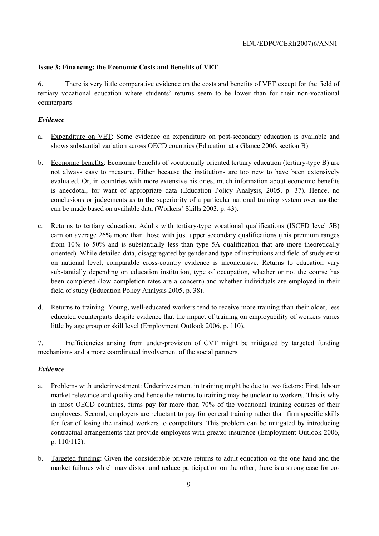## **Issue 3: Financing: the Economic Costs and Benefits of VET**

6. There is very little comparative evidence on the costs and benefits of VET except for the field of tertiary vocational education where students' returns seem to be lower than for their non-vocational counterparts

## *Evidence*

- a. Expenditure on VET: Some evidence on expenditure on post-secondary education is available and shows substantial variation across OECD countries (Education at a Glance 2006, section B).
- b. Economic benefits: Economic benefits of vocationally oriented tertiary education (tertiary-type B) are not always easy to measure. Either because the institutions are too new to have been extensively evaluated. Or, in countries with more extensive histories, much information about economic benefits is anecdotal, for want of appropriate data (Education Policy Analysis, 2005, p. 37). Hence, no conclusions or judgements as to the superiority of a particular national training system over another can be made based on available data (Workers' Skills 2003, p. 43).
- c. Returns to tertiary education: Adults with tertiary-type vocational qualifications (ISCED level 5B) earn on average 26% more than those with just upper secondary qualifications (this premium ranges from 10% to 50% and is substantially less than type 5A qualification that are more theoretically oriented). While detailed data, disaggregated by gender and type of institutions and field of study exist on national level, comparable cross-country evidence is inconclusive. Returns to education vary substantially depending on education institution, type of occupation, whether or not the course has been completed (low completion rates are a concern) and whether individuals are employed in their field of study (Education Policy Analysis 2005, p. 38).
- d. Returns to training: Young, well-educated workers tend to receive more training than their older, less educated counterparts despite evidence that the impact of training on employability of workers varies little by age group or skill level (Employment Outlook 2006, p. 110).

7. Inefficiencies arising from under-provision of CVT might be mitigated by targeted funding mechanisms and a more coordinated involvement of the social partners

#### *Evidence*

- a. Problems with underinvestment: Underinvestment in training might be due to two factors: First, labour market relevance and quality and hence the returns to training may be unclear to workers. This is why in most OECD countries, firms pay for more than 70% of the vocational training courses of their employees. Second, employers are reluctant to pay for general training rather than firm specific skills for fear of losing the trained workers to competitors. This problem can be mitigated by introducing contractual arrangements that provide employers with greater insurance (Employment Outlook 2006, p. 110/112).
- b. Targeted funding: Given the considerable private returns to adult education on the one hand and the market failures which may distort and reduce participation on the other, there is a strong case for co-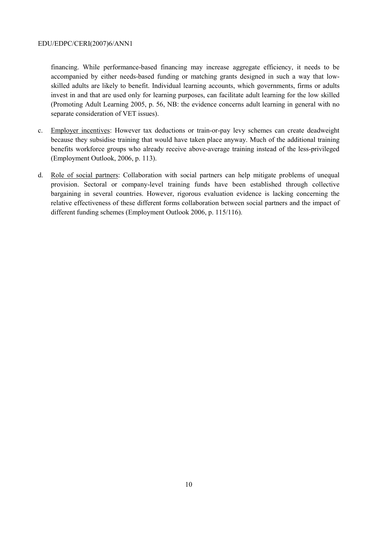financing. While performance-based financing may increase aggregate efficiency, it needs to be accompanied by either needs-based funding or matching grants designed in such a way that lowskilled adults are likely to benefit. Individual learning accounts, which governments, firms or adults invest in and that are used only for learning purposes, can facilitate adult learning for the low skilled (Promoting Adult Learning 2005, p. 56, NB: the evidence concerns adult learning in general with no separate consideration of VET issues).

- c. Employer incentives: However tax deductions or train-or-pay levy schemes can create deadweight because they subsidise training that would have taken place anyway. Much of the additional training benefits workforce groups who already receive above-average training instead of the less-privileged (Employment Outlook, 2006, p. 113).
- d. Role of social partners: Collaboration with social partners can help mitigate problems of unequal provision. Sectoral or company-level training funds have been established through collective bargaining in several countries. However, rigorous evaluation evidence is lacking concerning the relative effectiveness of these different forms collaboration between social partners and the impact of different funding schemes (Employment Outlook 2006, p. 115/116).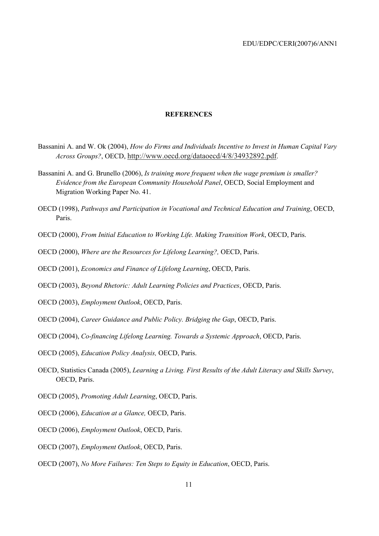#### **REFERENCES**

- Bassanini A. and W. Ok (2004), *How do Firms and Individuals Incentive to Invest in Human Capital Vary Across Groups?*, OECD, http://www.oecd.org/dataoecd/4/8/34932892.pdf.
- Bassanini A. and G. Brunello (2006), *Is training more frequent when the wage premium is smaller? Evidence from the European Community Household Panel*, OECD, Social Employment and Migration Working Paper No. 41.
- OECD (1998), *Pathways and Participation in Vocational and Technical Education and Training*, OECD, Paris.
- OECD (2000), *From Initial Education to Working Life. Making Transition Work*, OECD, Paris.
- OECD (2000), *Where are the Resources for Lifelong Learning?,* OECD, Paris.
- OECD (2001), *Economics and Finance of Lifelong Learning*, OECD, Paris.
- OECD (2003), *Beyond Rhetoric: Adult Learning Policies and Practices*, OECD, Paris.
- OECD (2003), *Employment Outlook*, OECD, Paris.
- OECD (2004), *Career Guidance and Public Policy. Bridging the Gap*, OECD, Paris.
- OECD (2004), *Co-financing Lifelong Learning. Towards a Systemic Approach*, OECD, Paris.
- OECD (2005), *Education Policy Analysis,* OECD, Paris.
- OECD, Statistics Canada (2005), *Learning a Living. First Results of the Adult Literacy and Skills Survey*, OECD, Paris.
- OECD (2005), *Promoting Adult Learning*, OECD, Paris.
- OECD (2006), *Education at a Glance,* OECD, Paris.
- OECD (2006), *Employment Outlook*, OECD, Paris.
- OECD (2007), *Employment Outlook*, OECD, Paris.
- OECD (2007), *No More Failures: Ten Steps to Equity in Education*, OECD, Paris.